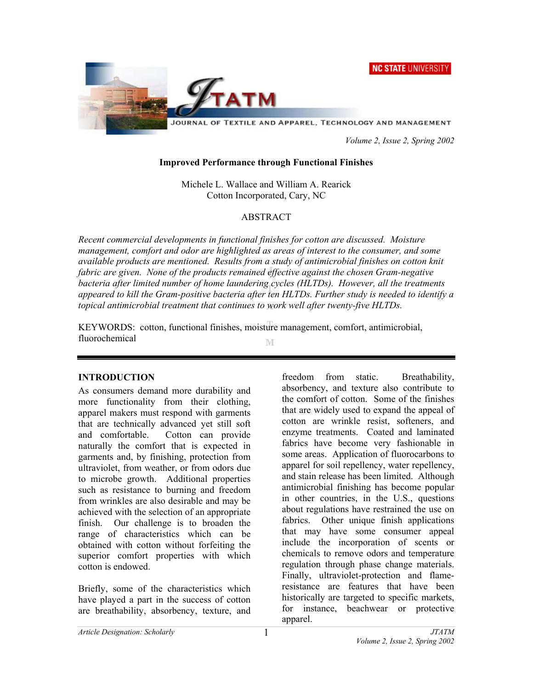



JOURNAL OF TEXTILE AND APPAREL, TECHNOLOGY AND MANAGEMENT

 *Volume 2, Issue 2, Spring 2002* 

#### **Improved Performance through Functional Finishes**

Michele L. Wallace and William A. Rearick Cotton Incorporated, Cary, NC

# ABSTRACT

*Recent commercial developments in functional finishes for cotton are discussed. Moisture management, comfort and odor are highlighted as areas of interest to the consumer, and some available products are mentioned. Results from a study of antimicrobial finishes on cotton knit fabric are given. None of the products remained effective against the chosen Gram-negative bacteria after limited number of home laundering cycles (HLTDs). However, all the treatments appeared to kill the Gram-positive bacteria after ten HLTDs. Further study is needed to identify a topical antimicrobial treatment that continues to work well after twenty-five HLTDs.* 

KEYWORDS: cotton, functional finishes, moisture management, comfort, antimicrobial, fluorochemical M

#### **INTRODUCTION**

As consumers demand more durability and more functionality from their clothing, apparel makers must respond with garments that are technically advanced yet still soft and comfortable. Cotton can provide naturally the comfort that is expected in garments and, by finishing, protection from ultraviolet, from weather, or from odors due to microbe growth. Additional properties such as resistance to burning and freedom from wrinkles are also desirable and may be achieved with the selection of an appropriate finish. Our challenge is to broaden the range of characteristics which can be obtained with cotton without forfeiting the superior comfort properties with which cotton is endowed.

Briefly, some of the characteristics which have played a part in the success of cotton are breathability, absorbency, texture, and freedom from static. Breathability, absorbency, and texture also contribute to the comfort of cotton. Some of the finishes that are widely used to expand the appeal of cotton are wrinkle resist, softeners, and enzyme treatments. Coated and laminated fabrics have become very fashionable in some areas. Application of fluorocarbons to apparel for soil repellency, water repellency, and stain release has been limited. Although antimicrobial finishing has become popular in other countries, in the U.S., questions about regulations have restrained the use on fabrics. Other unique finish applications that may have some consumer appeal include the incorporation of scents or chemicals to remove odors and temperature regulation through phase change materials. Finally, ultraviolet-protection and flameresistance are features that have been historically are targeted to specific markets, for instance, beachwear or protective apparel.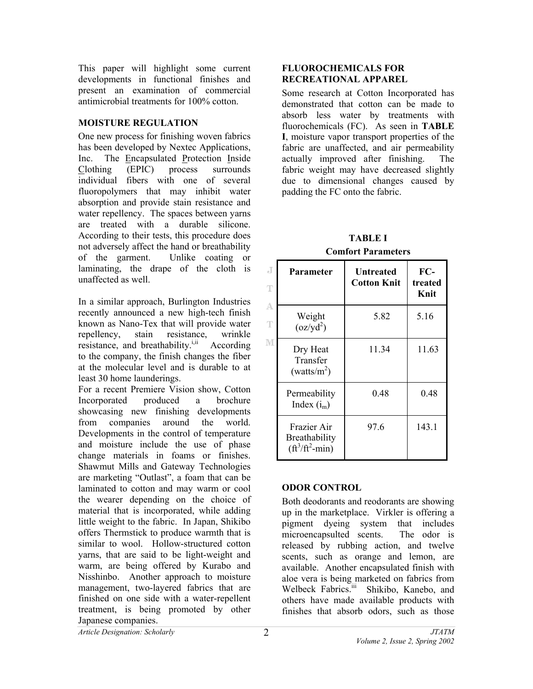This paper will highlight some current developments in functional finishes and present an examination of commercial antimicrobial treatments for 100% cotton.

# **MOISTURE REGULATION**

One new process for finishing woven fabrics has been developed by Nextec Applications, Inc. The Encapsulated Protection Inside Clothing (EPIC) process surrounds individual fibers with one of several fluoropolymers that may inhibit water absorption and provide stain resistance and water repellency. The spaces between yarns are treated with a durable silicone. According to their tests, this procedure does not adversely affect the hand or breathability of the garment. Unlike coating or laminating, the drape of the cloth is unaffected as well.

In a similar approach, Burlington Industries recently announced a new high-tech finish known as Nano-Tex that will provide water repellency, stain resistance, wrinkle resistance, and breathability. $i$ <sup>ii</sup> According to the company, the finish changes the fiber at the molecular level and is durable to at least 30 home launderings.

For a recent Premiere Vision show, Cotton Incorporated produced a brochure showcasing new finishing developments from companies around the world. Developments in the control of temperature and moisture include the use of phase change materials in foams or finishes. Shawmut Mills and Gateway Technologies are marketing "Outlast", a foam that can be laminated to cotton and may warm or cool the wearer depending on the choice of material that is incorporated, while adding little weight to the fabric. In Japan, Shikibo offers Thermstick to produce warmth that is similar to wool. Hollow-structured cotton yarns, that are said to be light-weight and warm, are being offered by Kurabo and Nisshinbo. Another approach to moisture management, two-layered fabrics that are finished on one side with a water-repellent treatment, is being promoted by other Japanese companies.

## **FLUOROCHEMICALS FOR RECREATIONAL APPAREL**

Some research at Cotton Incorporated has demonstrated that cotton can be made to absorb less water by treatments with fluorochemicals (FC). As seen in **TABLE I**, moisture vapor transport properties of the fabric are unaffected, and air permeability actually improved after finishing. The fabric weight may have decreased slightly due to dimensional changes caused by padding the FC onto the fabric.

**TABLE I Comfort Parameters** 

| J<br>T<br>A<br>T<br>M | <b>Parameter</b>                                                       | Untreated<br><b>Cotton Knit</b> | FC-<br>treated<br>Knit |
|-----------------------|------------------------------------------------------------------------|---------------------------------|------------------------|
|                       | Weight<br>$\left( \frac{\alpha z}{v d^2} \right)$                      | 5.82                            | 5.16                   |
|                       | Dry Heat<br>Transfer<br>(watts/ $m2$ )                                 | 11.34                           | 11.63                  |
|                       | Permeability<br>Index $(i_m)$                                          | 0.48                            | 0.48                   |
|                       | Frazier Air<br>Breathability<br>$(\text{ft}^3/\text{ft}^2\text{-min})$ | 97.6                            | 143.1                  |

# **ODOR CONTROL**

Both deodorants and reodorants are showing up in the marketplace. Virkler is offering a pigment dyeing system that includes microencapsulted scents. The odor is released by rubbing action, and twelve scents, such as orange and lemon, are available. Another encapsulated finish with aloe vera is being marketed on fabrics from Welbeck Fabrics.<sup>iii</sup> Shikibo, Kanebo, and others have made available products with finishes that absorb odors, such as those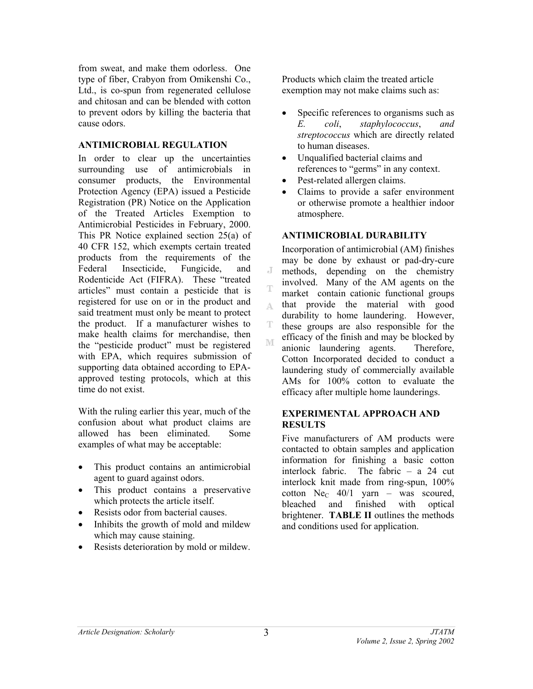from sweat, and make them odorless. One type of fiber, Crabyon from Omikenshi Co., Ltd., is co-spun from regenerated cellulose and chitosan and can be blended with cotton to prevent odors by killing the bacteria that cause odors.

## **ANTIMICROBIAL REGULATION**

In order to clear up the uncertainties surrounding use of antimicrobials in consumer products, the Environmental Protection Agency (EPA) issued a Pesticide Registration (PR) Notice on the Application of the Treated Articles Exemption to Antimicrobial Pesticides in February, 2000. This PR Notice explained section 25(a) of 40 CFR 152, which exempts certain treated products from the requirements of the Federal Insecticide, Fungicide, and Rodenticide Act (FIFRA). These "treated articles" must contain a pesticide that is registered for use on or in the product and said treatment must only be meant to protect the product. If a manufacturer wishes to make health claims for merchandise, then the "pesticide product" must be registered with EPA, which requires submission of supporting data obtained according to EPAapproved testing protocols, which at this time do not exist.

With the ruling earlier this year, much of the confusion about what product claims are allowed has been eliminated. Some examples of what may be acceptable:

- This product contains an antimicrobial agent to guard against odors.
- This product contains a preservative which protects the article itself.
- Resists odor from bacterial causes.
- Inhibits the growth of mold and mildew which may cause staining.
- Resists deterioration by mold or mildew.

Products which claim the treated article exemption may not make claims such as:

- Specific references to organisms such as *E. coli*, *staphylococcus*, *and streptococcus* which are directly related to human diseases.
- Unqualified bacterial claims and references to "germs" in any context.
- Pest-related allergen claims.
- Claims to provide a safer environment or otherwise promote a healthier indoor atmosphere.

#### **ANTIMICROBIAL DURABILITY**

Incorporation of antimicrobial (AM) finishes may be done by exhaust or pad-dry-cure J methods, depending on the chemistry involved. Many of the AM agents on the market contain cationic functional groups that provide the material with good A. durability to home laundering. However, these groups are also responsible for the efficacy of the finish and may be blocked by  $\mathbb{M}$ anionic laundering agents. Therefore, Cotton Incorporated decided to conduct a laundering study of commercially available AMs for 100% cotton to evaluate the efficacy after multiple home launderings.

## **EXPERIMENTAL APPROACH AND RESULTS**

Five manufacturers of AM products were contacted to obtain samples and application information for finishing a basic cotton interlock fabric. The fabric – a 24 cut interlock knit made from ring-spun, 100% cotton  $Ne<sub>C</sub>$  40/1 yarn – was scoured, bleached and finished with optical brightener. **TABLE II** outlines the methods and conditions used for application.

T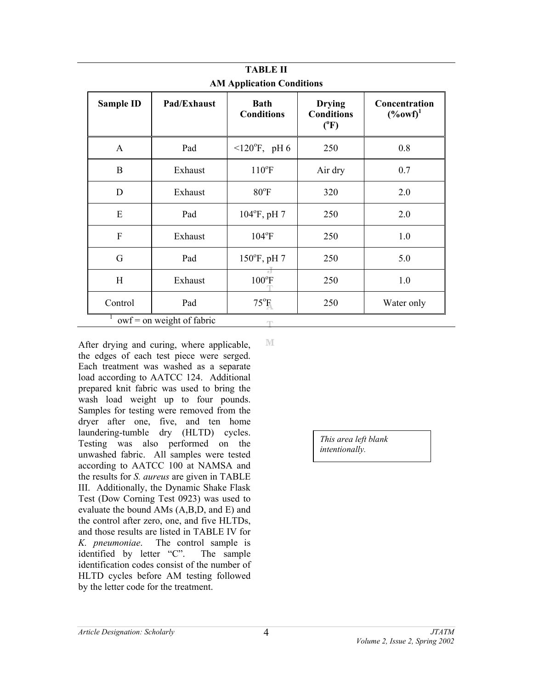| тарылы<br><b>AM Application Conditions</b> |                             |                                  |                                                     |                                        |
|--------------------------------------------|-----------------------------|----------------------------------|-----------------------------------------------------|----------------------------------------|
| <b>Sample ID</b>                           | Pad/Exhaust                 | <b>Bath</b><br><b>Conditions</b> | <b>Drying</b><br><b>Conditions</b><br>$(^{\circ}F)$ | Concentration<br>$(*60 \text{w}^{-1})$ |
| $\mathbf{A}$                               | Pad                         | $120^{\circ}$ F, pH 6            | 250                                                 | 0.8                                    |
| B                                          | Exhaust                     | $110^{\circ}F$                   | Air dry                                             | 0.7                                    |
| D                                          | Exhaust                     | $80^{\circ}$ F                   | 320                                                 | 2.0                                    |
| E                                          | Pad                         | $104^{\circ}$ F, pH 7            | 250                                                 | 2.0                                    |
| F                                          | Exhaust                     | $104^{\circ}F$                   | 250                                                 | 1.0                                    |
| G                                          | Pad                         | $150^{\circ}$ F, pH 7            | 250                                                 | 5.0                                    |
| H                                          | Exhaust                     | $100^{\circ}$ F                  | 250                                                 | 1.0                                    |
| Control                                    | Pad                         | $75^{\circ}$ F                   | 250                                                 | Water only                             |
|                                            | $owf = on weight of fabric$ | m                                |                                                     |                                        |

**TABLE II** 

After drying and curing, where applicable, the edges of each test piece were serged. Each treatment was washed as a separate load according to AATCC 124. Additional prepared knit fabric was used to bring the wash load weight up to four pounds. Samples for testing were removed from the dryer after one, five, and ten home laundering-tumble dry (HLTD) cycles. Testing was also performed on the unwashed fabric. All samples were tested according to AATCC 100 at NAMSA and the results for *S. aureus* are given in TABLE III. Additionally, the Dynamic Shake Flask Test (Dow Corning Test 0923) was used to evaluate the bound AMs (A,B,D, and E) and the control after zero, one, and five HLTDs, and those results are listed in TABLE IV for *K. pneumoniae*. The control sample is identified by letter "C". The sample identification codes consist of the number of HLTD cycles before AM testing followed by the letter code for the treatment.

M

*This area left blank intentionally.*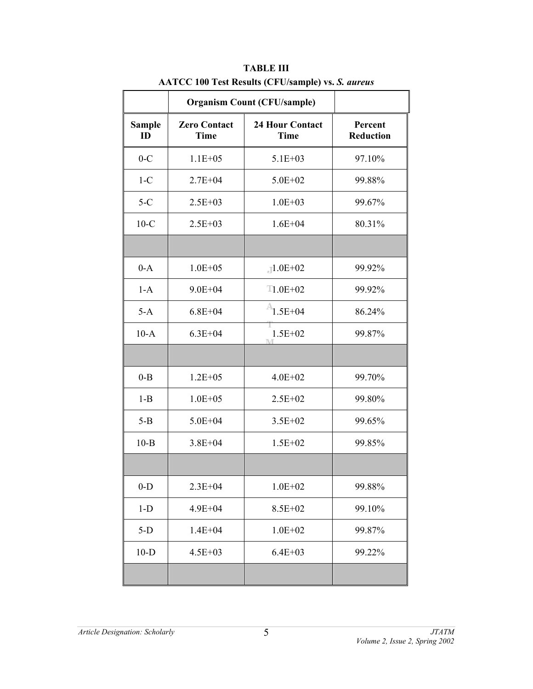|                     | <b>Organism Count (CFU/sample)</b> |                                       |                             |
|---------------------|------------------------------------|---------------------------------------|-----------------------------|
| <b>Sample</b><br>ID | <b>Zero Contact</b><br><b>Time</b> | <b>24 Hour Contact</b><br><b>Time</b> | Percent<br><b>Reduction</b> |
| $0-C$               | $1.1E + 05$                        | 5.1E+03                               | 97.10%                      |
| $1-C$               | $2.7E + 04$                        | $5.0E + 02$                           | 99.88%                      |
| $5-C$               | $2.5E + 03$                        | $1.0E + 03$                           | 99.67%                      |
| $10-C$              | $2.5E + 03$                        | $1.6E + 04$                           | 80.31%                      |
|                     |                                    |                                       |                             |
| $0-A$               | $1.0E + 05$                        | $-1.0E+02$                            | 99.92%                      |
| $1-A$               | $9.0E + 04$                        | $T1.0E+02$                            | 99.92%                      |
| $5-A$               | $6.8E + 04$                        | $1.5E + 04$                           | 86.24%                      |
| $10-A$              | $6.3E + 04$                        | $1.5E + 02$<br>ħπ                     | 99.87%                      |
|                     |                                    |                                       |                             |
| $0 - B$             | $1.2E + 0.5$                       | $4.0E + 02$                           | 99.70%                      |
| $1 - B$             | $1.0E + 05$                        | $2.5E + 02$                           | 99.80%                      |
| $5-B$               | $5.0E + 04$                        | $3.5E + 02$                           | 99.65%                      |
| $10 - B$            | $3.8E + 04$                        | $1.5E + 02$                           | 99.85%                      |
|                     |                                    |                                       |                             |
| $0-D$               | $2.3E + 04$                        | $1.0E + 02$                           | 99.88%                      |
| $1-D$               | $4.9E + 04$                        | 8.5E+02                               | 99.10%                      |
| $5-D$               | $1.4E + 04$                        | $1.0E + 02$                           | 99.87%                      |
| $10-D$              | $4.5E + 03$                        | $6.4E + 03$                           | 99.22%                      |
|                     |                                    |                                       |                             |

**TABLE III AATCC 100 Test Results (CFU/sample) vs.** *S. aureus*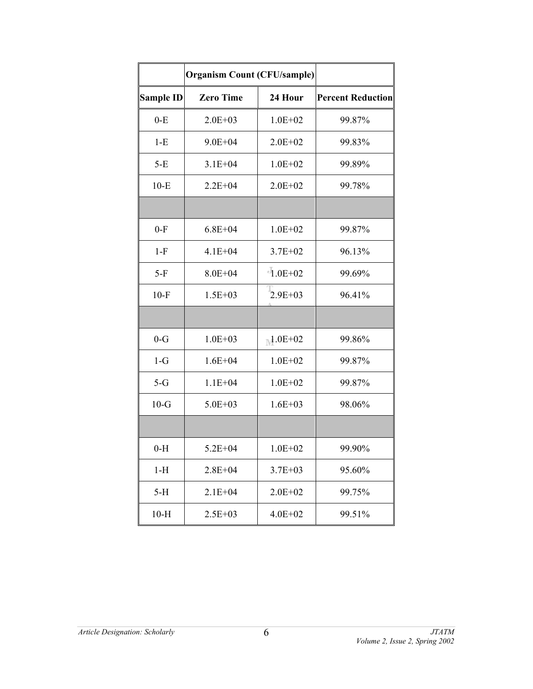|                  | <b>Organism Count (CFU/sample)</b> |              |                          |  |
|------------------|------------------------------------|--------------|--------------------------|--|
| <b>Sample ID</b> | <b>Zero Time</b>                   | 24 Hour      | <b>Percent Reduction</b> |  |
| $0-E$            | $2.0E + 03$                        | $1.0E + 02$  | 99.87%                   |  |
| $1-E$            | $9.0E + 04$                        | $2.0E + 02$  | 99.83%                   |  |
| $5-E$            | $3.1E + 04$                        | $1.0E + 02$  | 99.89%                   |  |
| $10-E$           | $2.2E + 04$                        | $2.0E + 02$  | 99.78%                   |  |
|                  |                                    |              |                          |  |
| $0-F$            | $6.8E + 04$                        | $1.0E + 02$  | 99.87%                   |  |
| $1-F$            | $4.1E + 04$                        | $3.7E + 02$  | 96.13%                   |  |
| $5-F$            | $8.0E + 04$                        | $-1.0E + 02$ | 99.69%                   |  |
| $10-F$           | $1.5E + 03$                        | $2.9E + 03$  | 96.41%                   |  |
|                  |                                    |              |                          |  |
| $0-G$            | $1.0E + 03$                        | $1.0E + 02$  | 99.86%                   |  |
| $1-G$            | $1.6E + 04$                        | $1.0E + 02$  | 99.87%                   |  |
| $5-G$            | $1.1E + 04$                        | $1.0E + 02$  | 99.87%                   |  |
| $10-G$           | $5.0E + 03$                        | $1.6E + 03$  | 98.06%                   |  |
|                  |                                    |              |                          |  |
| $0-H$            | $5.2E + 04$                        | $1.0E + 02$  | 99.90%                   |  |
| $1-H$            | $2.8E + 04$                        | $3.7E + 03$  | 95.60%                   |  |
| $5-H$            | $2.1E + 04$                        | $2.0E + 02$  | 99.75%                   |  |
| $10-H$           | $2.5E + 03$                        | $4.0E + 02$  | 99.51%                   |  |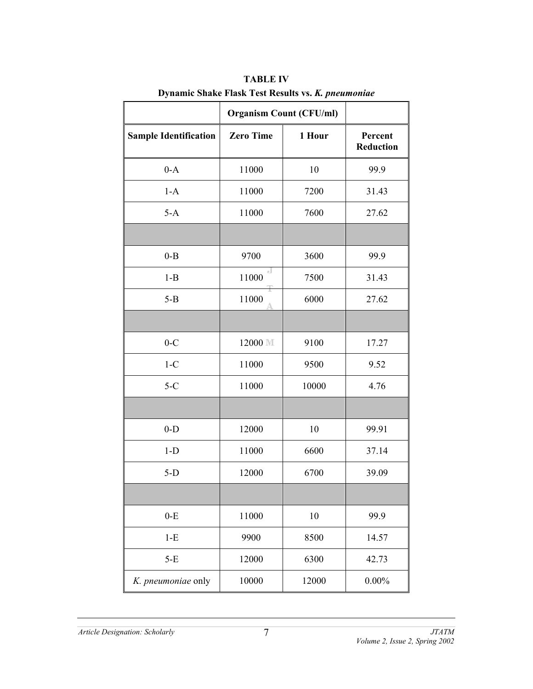|                              | <b>Organism Count (CFU/ml)</b> |        |                             |
|------------------------------|--------------------------------|--------|-----------------------------|
| <b>Sample Identification</b> | <b>Zero Time</b>               | 1 Hour | Percent<br><b>Reduction</b> |
| $0-A$                        | 11000                          | 10     | 99.9                        |
| $1-A$                        | 11000                          | 7200   | 31.43                       |
| $5-A$                        | 11000                          | 7600   | 27.62                       |
|                              |                                |        |                             |
| $0 - B$                      | 9700                           | 3600   | 99.9                        |
| $1 - B$                      | ×3<br>11000                    | 7500   | 31.43                       |
| $5 - B$                      | 11000                          | 6000   | 27.62                       |
|                              |                                |        |                             |
| $0-C$                        | 12000 ML                       | 9100   | 17.27                       |
| $1-C$                        | 11000                          | 9500   | 9.52                        |
| $5-C$                        | 11000                          | 10000  | 4.76                        |
|                              |                                |        |                             |
| $0-D$                        | 12000                          | 10     | 99.91                       |
| $1-D$                        | 11000                          | 6600   | 37.14                       |
| $5-D$                        | 12000                          | 6700   | 39.09                       |
|                              |                                |        |                             |
| $0-E$                        | 11000                          | 10     | 99.9                        |
| $1-E$                        | 9900                           | 8500   | 14.57                       |
| $5-E$                        | 12000                          | 6300   | 42.73                       |
| K. pneumoniae only           | 10000                          | 12000  | $0.00\%$                    |

**TABLE IV Dynamic Shake Flask Test Results vs.** *K. pneumoniae*